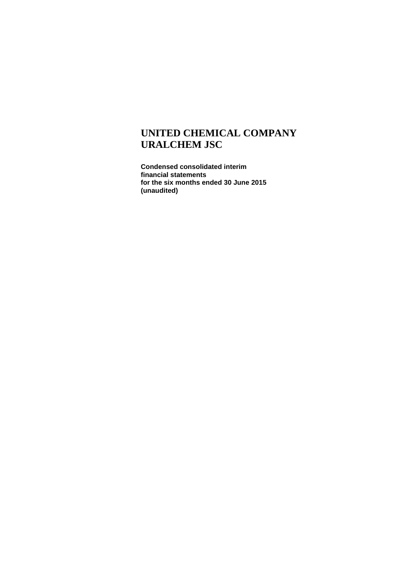**Condensed consolidated interim financial statements for the six months ended 30 June 2015 (unaudited)**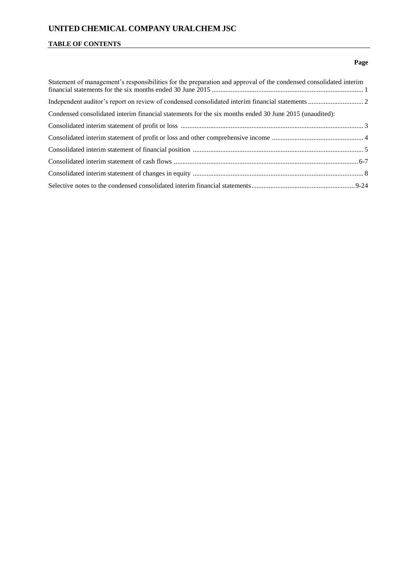## **TABLE OF CONTENTS**

## **Page**

| Statement of management's responsibilities for the preparation and approval of the condensed consolidated interim |  |
|-------------------------------------------------------------------------------------------------------------------|--|
|                                                                                                                   |  |
| Condensed consolidated interim financial statements for the six months ended 30 June 2015 (unaudited):            |  |
|                                                                                                                   |  |
|                                                                                                                   |  |
|                                                                                                                   |  |
|                                                                                                                   |  |
|                                                                                                                   |  |
|                                                                                                                   |  |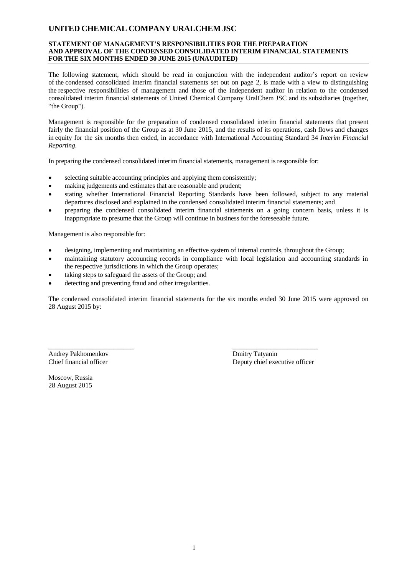#### **STATEMENT OF MANAGEMENT'S RESPONSIBILITIES FOR THE PREPARATION AND APPROVAL OF THE CONDENSED CONSOLIDATED INTERIM FINANCIAL STATEMENTS FOR THE SIX MONTHS ENDED 30 JUNE 2015 (UNAUDITED)**

The following statement, which should be read in conjunction with the independent auditor's report on review of the condensed consolidated interim financial statements set out on page 2, is made with a view to distinguishing the respective responsibilities of management and those of the independent auditor in relation to the condensed consolidated interim financial statements of United Chemical Company UralChem JSC and its subsidiaries (together, "the Group").

Management is responsible for the preparation of condensed consolidated interim financial statements that present fairly the financial position of the Group as at 30 June 2015, and the results of its operations, cash flows and changes in equity for the six months then ended, in accordance with International Accounting Standard 34 *Interim Financial Reporting*.

In preparing the condensed consolidated interim financial statements, management is responsible for:

- selecting suitable accounting principles and applying them consistently;
- making judgements and estimates that are reasonable and prudent;
- stating whether International Financial Reporting Standards have been followed, subject to any material departures disclosed and explained in the condensed consolidated interim financial statements; and
- preparing the condensed consolidated interim financial statements on a going concern basis, unless it is inappropriate to presume that the Group will continue in business for the foreseeable future.

Management is also responsible for:

designing, implementing and maintaining an effective system of internal controls, throughout the Group;

\_\_\_\_\_\_\_\_\_\_\_\_\_\_\_\_\_\_\_\_\_\_\_\_\_ \_\_\_\_\_\_\_\_\_\_\_\_\_\_\_\_\_\_\_\_\_\_\_\_\_

- maintaining statutory accounting records in compliance with local legislation and accounting standards in the respective jurisdictions in which the Group operates;
- taking steps to safeguard the assets of the Group; and
- detecting and preventing fraud and other irregularities.

The condensed consolidated interim financial statements for the six months ended 30 June 2015 were approved on 28 August 2015 by:

Andrey Pakhomenkov Dmitry Tatyanin

Chief financial officer Deputy chief executive officer

Moscow, Russia 28 August 2015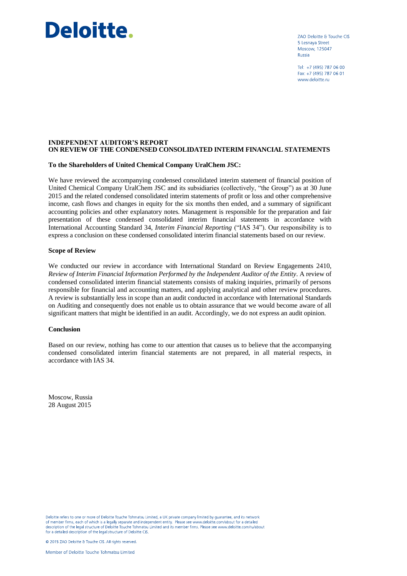# Deloitte.

ZAO Deloitte & Touche CIS 5 Lesnaya Street Moscow. 125047 Russia

Tel: +7 (495) 787 06 00 Fax: +7 (495) 787 06 01 www.deloitte.ru

#### **INDEPENDENT AUDITOR'S REPORT ON REVIEW OF THE CONDENSED CONSOLIDATED INTERIM FINANCIAL STATEMENTS**

#### **To the Shareholders of United Chemical Company UralChem JSC:**

We have reviewed the accompanying condensed consolidated interim statement of financial position of United Chemical Company UralChem JSC and its subsidiaries (collectively, "the Group") as at 30 June 2015 and the related condensed consolidated interim statements of profit or loss and other comprehensive income, cash flows and changes in equity for the six months then ended, and a summary of significant accounting policies and other explanatory notes. Management is responsible for the preparation and fair presentation of these condensed consolidated interim financial statements in accordance with International Accounting Standard 34, *Interim Financial Reporting* ("IAS 34"). Our responsibility is to express a conclusion on these condensed consolidated interim financial statements based on our review.

#### **Scope of Review**

We conducted our review in accordance with International Standard on Review Engagements 2410, *Review of Interim Financial Information Performed by the Independent Auditor of the Entity*. A review of condensed consolidated interim financial statements consists of making inquiries, primarily of persons responsible for financial and accounting matters, and applying analytical and other review procedures. A review is substantially less in scope than an audit conducted in accordance with International Standards on Auditing and consequently does not enable us to obtain assurance that we would become aware of all significant matters that might be identified in an audit. Accordingly, we do not express an audit opinion.

#### **Conclusion**

Based on our review, nothing has come to our attention that causes us to believe that the accompanying condensed consolidated interim financial statements are not prepared, in all material respects, in accordance with IAS 34.

Moscow, Russia 28 August 2015

Deloitte refers to one or more of Deloitte Touche Tohmatsu Limited, a UK private company limited by quarantee, and its network Detroite retries to one of members finds a legally separate and independent entity. Please see www.deloitte.com/about for a detailed<br>of member firms, each of which is a legally separate and independent entity. Please see w for a detailed description of the legal structure of Deloitte CIS.

© 2015 ZAO Deloitte & Touche CIS. All rights reserved.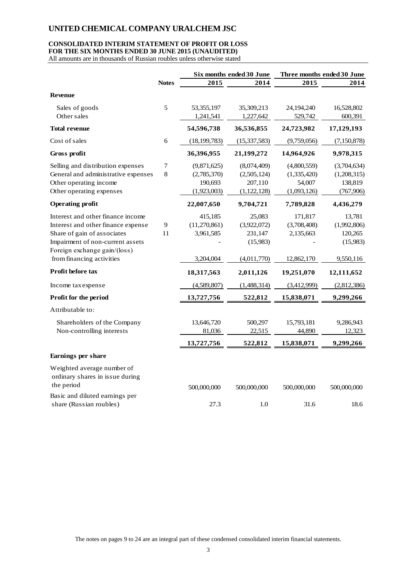#### **CONSOLIDATED INTERIM STATEMENT OF PROFIT OR LOSS FOR THE SIX MONTHS ENDED 30 JUNE 2015 (UNAUDITED)**

All amounts are in thousands of Russian roubles unless otherwise stated

|                                     |              |                | Six months ended 30 June | Three months ended 30 June |             |
|-------------------------------------|--------------|----------------|--------------------------|----------------------------|-------------|
|                                     | <b>Notes</b> | 2015           | 2014                     | 2015                       | 2014        |
| <b>Revenue</b>                      |              |                |                          |                            |             |
| Sales of goods                      | 5            | 53, 355, 197   | 35,309,213               | 24,194,240                 | 16,528,802  |
| Other sales                         |              | 1,241,541      | 1,227,642                | 529,742                    | 600,391     |
| <b>Total revenue</b>                |              | 54,596,738     | 36,536,855               | 24,723,982                 | 17,129,193  |
| Cost of sales                       | 6            | (18, 199, 783) | (15, 337, 583)           | (9,759,056)                | (7,150,878) |
| Gross profit                        |              | 36,396,955     | 21,199,272               | 14,964,926                 | 9,978,315   |
| Selling and distribution expenses   | 7            | (9,871,625)    | (8,074,409)              | (4,800,559)                | (3,704,634) |
| General and administrative expenses | 8            | (2,785,370)    | (2,505,124)              | (1,335,420)                | (1,208,315) |
| Other operating income              |              | 190,693        | 207,110                  | 54,007                     | 138,819     |
| Other operating expenses            |              | (1,923,003)    | (1, 122, 128)            | (1,093,126)                | (767, 906)  |
| <b>Operating profit</b>             |              | 22,007,650     | 9,704,721                | 7,789,828                  | 4,436,279   |
| Interest and other finance income   |              | 415,185        | 25,083                   | 171,817                    | 13,781      |
| Interest and other finance expense  | 9            | (11, 270, 861) | (3,922,072)              | (3,708,408)                | (1,992,806) |
| Share of gain of associates         | 11           | 3,961,585      | 231,147                  | 2,135,663                  | 120,265     |
| Impairment of non-current assets    |              |                | (15,983)                 |                            | (15,983)    |
| Foreign exchange gain/(loss)        |              |                |                          |                            |             |
| from financing activities           |              | 3,204,004      | (4,011,770)              | 12,862,170                 | 9,550,116   |
| <b>Profit before tax</b>            |              | 18,317,563     | 2,011,126                | 19,251,070                 | 12,111,652  |
| Income tax expense                  |              | (4,589,807)    | (1,488,314)              | (3,412,999)                | (2,812,386) |
| Profit for the period               |              | 13,727,756     | 522,812                  | 15,838,071                 | 9,299,266   |
| Attributable to:                    |              |                |                          |                            |             |
| Shareholders of the Company         |              | 13,646,720     | 500,297                  | 15,793,181                 | 9,286,943   |
| Non-controlling interests           |              | 81,036         | 22,515                   | 44,890                     | 12,323      |
|                                     |              | 13,727,756     | 522,812                  | 15,838,071                 | 9,299,266   |
| Earnings per share                  |              |                |                          |                            |             |
| Weighted average number of          |              |                |                          |                            |             |
| ordinary shares in issue during     |              |                |                          |                            |             |
| the period                          |              |                |                          |                            |             |
| Basic and diluted earnings per      |              | 500,000,000    | 500,000,000              | 500,000,000                | 500,000,000 |
| share (Russian roubles)             |              | 27.3           | 1.0                      | 31.6                       | 18.6        |
|                                     |              |                |                          |                            |             |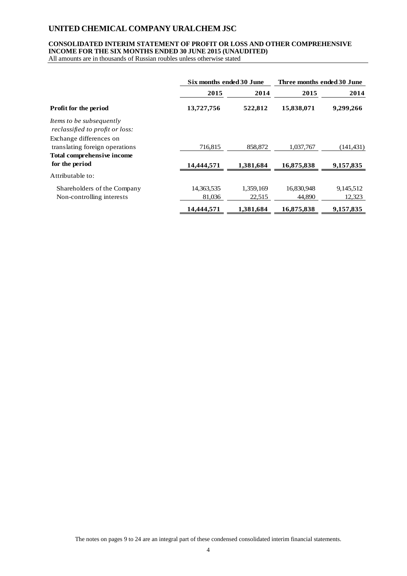### **CONSOLIDATED INTERIM STATEMENT OF PROFIT OR LOSS AND OTHER COMPREHENSIVE INCOME FOR THE SIX MONTHS ENDED 30 JUNE 2015 (UNAUDITED)**

All amounts are in thousands of Russian roubles unless otherwise stated

|                                                                    | Six months ended 30 June |           | Three months ended 30 June |           |
|--------------------------------------------------------------------|--------------------------|-----------|----------------------------|-----------|
|                                                                    | 2015                     | 2014      | 2015                       | 2014      |
| <b>Profit for the period</b>                                       | 13,727,756               | 522,812   | 15,838,071                 | 9,299,266 |
| <i>Items to be subsequently</i><br>reclassified to profit or loss: |                          |           |                            |           |
| Exchange differences on<br>translating foreign operations          | 716,815                  | 858,872   | 1,037,767                  | (141,431) |
| Total comprehensive income                                         |                          |           |                            |           |
| for the period                                                     | 14,444,571               | 1,381,684 | 16,875,838                 | 9,157,835 |
| Attributable to:                                                   |                          |           |                            |           |
| Shareholders of the Company                                        | 14,363,535               | 1,359,169 | 16,830,948                 | 9,145,512 |
| Non-controlling interests                                          | 81,036                   | 22,515    | 44,890                     | 12,323    |
|                                                                    | 14,444,571               | 1,381,684 | 16,875,838                 | 9,157,835 |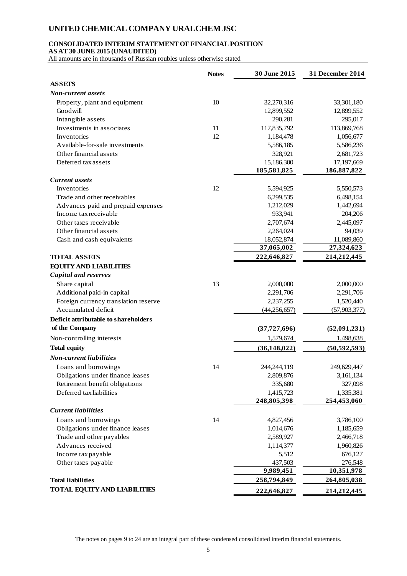#### **CONSOLIDATED INTERIM STATEMENT OF FINANCIAL POSITION**

**AS AT 30 JUNE 2015 (UNAUDITED)**

All amounts are in thousands of Russian roubles unless otherwise stated

|                                      | <b>Notes</b> | 30 June 2015   | 31 December 2014 |
|--------------------------------------|--------------|----------------|------------------|
| <b>ASSETS</b>                        |              |                |                  |
| <b>Non-current assets</b>            |              |                |                  |
| Property, plant and equipment        | 10           | 32,270,316     | 33,301,180       |
| Goodwill                             |              | 12,899,552     | 12,899,552       |
| Intangible assets                    |              | 290,281        | 295,017          |
| Investments in associates            | 11           | 117,835,792    | 113,869,768      |
| Inventories                          | 12           | 1,184,478      | 1,056,677        |
| Available-for-sale investments       |              | 5,586,185      | 5,586,236        |
| Other financial assets               |              | 328,921        | 2,681,723        |
| Deferred tax assets                  |              | 15,186,300     | 17,197,669       |
|                                      |              | 185,581,825    | 186,887,822      |
| <b>Current assets</b>                |              |                |                  |
| Inventories                          | 12           | 5,594,925      | 5,550,573        |
| Trade and other receivables          |              | 6,299,535      | 6,498,154        |
| Advances paid and prepaid expenses   |              | 1,212,029      | 1,442,694        |
| Income tax receivable                |              | 933,941        | 204,206          |
| Other taxes receivable               |              | 2,707,674      | 2,445,097        |
| Other financial assets               |              | 2,264,024      | 94,039           |
| Cash and cash equivalents            |              | 18,052,874     | 11,089,860       |
|                                      |              | 37,065,002     | 27,324,623       |
| <b>TOTAL ASSETS</b>                  |              | 222,646,827    | 214,212,445      |
| <b>EQUITY AND LIABILITIES</b>        |              |                |                  |
| <b>Capital and reserves</b>          |              |                |                  |
| Share capital                        | 13           | 2,000,000      | 2,000,000        |
| Additional paid-in capital           |              | 2,291,706      | 2,291,706        |
| Foreign currency translation reserve |              | 2,237,255      | 1,520,440        |
| Accumulated deficit                  |              | (44, 256, 657) | (57, 903, 377)   |
| Deficit attributable to shareholders |              |                |                  |
| of the Company                       |              | (37, 727, 696) | (52,091,231)     |
| Non-controlling interests            |              | 1,579,674      | 1,498,638        |
| <b>Total equity</b>                  |              | (36, 148, 022) | (50, 592, 593)   |
| <b>Non-current liabilities</b>       |              |                |                  |
| Loans and borrowings                 | 14           | 244, 244, 119  | 249,629,447      |
| Obligations under finance leases     |              | 2,809,876      | 3,161,134        |
| Retirement benefit obligations       |              | 335,680        | 327,098          |
| Deferred tax liabilities             |              | 1,415,723      | 1,335,381        |
|                                      |              | 248,805,398    | 254,453,060      |
| <b>Current liabilities</b>           |              |                |                  |
| Loans and borrowings                 | 14           | 4,827,456      | 3,786,100        |
| Obligations under finance leases     |              | 1,014,676      | 1,185,659        |
| Trade and other payables             |              | 2,589,927      | 2,466,718        |
| Advances received                    |              | 1,114,377      | 1,960,826        |
| Income tax payable                   |              | 5,512          | 676,127          |
| Other taxes payable                  |              | 437,503        | 276,548          |
|                                      |              | 9,989,451      | 10,351,978       |
| <b>Total liabilities</b>             |              | 258,794,849    | 264,805,038      |
| <b>TOTAL EQUITY AND LIABILITIES</b>  |              | 222,646,827    | 214,212,445      |
|                                      |              |                |                  |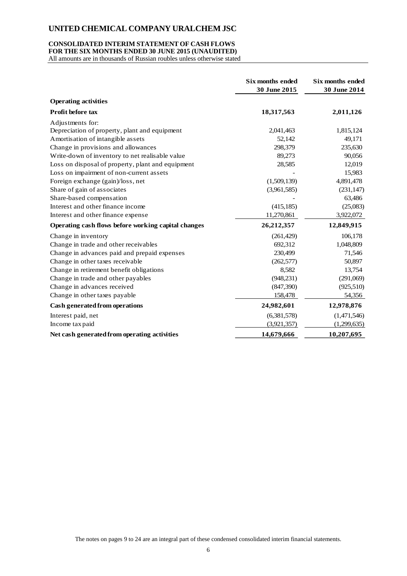#### **CONSOLIDATED INTERIM STATEMENT OF CASH FLOWS FOR THE SIX MONTHS ENDED 30 JUNE 2015 (UNAUDITED)**

All amounts are in thousands of Russian roubles unless otherwise stated

|                                                     | Six months ended<br>30 June 2015 | Six months ended<br>30 June 2014 |
|-----------------------------------------------------|----------------------------------|----------------------------------|
| <b>Operating activities</b>                         |                                  |                                  |
| Profit before tax                                   | 18,317,563                       | 2,011,126                        |
| Adjustments for:                                    |                                  |                                  |
| Depreciation of property, plant and equipment       | 2,041,463                        | 1,815,124                        |
| Amortisation of intangible assets                   | 52,142                           | 49,171                           |
| Change in provisions and allowances                 | 298,379                          | 235,630                          |
| Write-down of inventory to net realisable value     | 89,273                           | 90,056                           |
| Loss on disposal of property, plant and equipment   | 28,585                           | 12,019                           |
| Loss on impairment of non-current assets            |                                  | 15,983                           |
| Foreign exchange (gain)/loss, net                   | (1,509,139)                      | 4,891,478                        |
| Share of gain of associates                         | (3,961,585)                      | (231, 147)                       |
| Share-based compensation                            |                                  | 63,486                           |
| Interest and other finance income                   | (415, 185)                       | (25,083)                         |
| Interest and other finance expense                  | 11,270,861                       | 3,922,072                        |
| Operating cash flows before working capital changes | 26,212,357                       | 12,849,915                       |
| Change in inventory                                 | (261, 429)                       | 106,178                          |
| Change in trade and other receivables               | 692,312                          | 1,048,809                        |
| Change in advances paid and prepaid expenses        | 230,499                          | 71,546                           |
| Change in other taxes receivable                    | (262, 577)                       | 50,897                           |
| Change in retirement benefit obligations            | 8,582                            | 13,754                           |
| Change in trade and other payables                  | (948, 231)                       | (291,069)                        |
| Change in advances received                         | (847,390)                        | (925,510)                        |
| Change in other taxes payable                       | 158,478                          | 54,356                           |
| Cash generated from operations                      | 24,982,601                       | 12,978,876                       |
| Interest paid, net                                  | (6,381,578)                      | (1,471,546)                      |
| Income tax paid                                     | (3,921,357)                      | (1,299,635)                      |
| Net cash generated from operating activities        | 14,679,666                       | 10,207,695                       |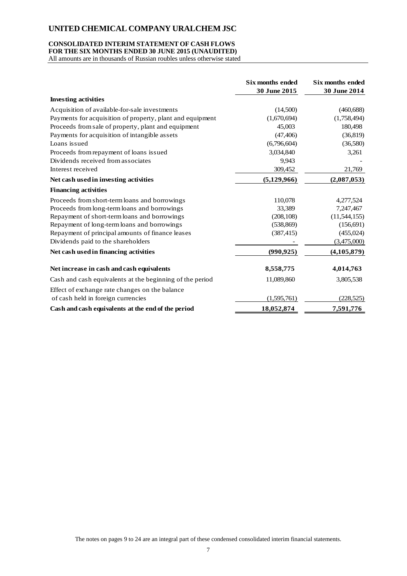#### **CONSOLIDATED INTERIM STATEMENT OF CASH FLOWS FOR THE SIX MONTHS ENDED 30 JUNE 2015 (UNAUDITED)**

All amounts are in thousands of Russian roubles unless otherwise stated

|                                                           | Six months ended<br>30 June 2015 | Six months ended<br>30 June 2014 |
|-----------------------------------------------------------|----------------------------------|----------------------------------|
| <b>Investing activities</b>                               |                                  |                                  |
| Acquisition of available-for-sale investments             | (14,500)                         | (460, 688)                       |
| Payments for acquisition of property, plant and equipment | (1,670,694)                      | (1,758,494)                      |
| Proceeds from sale of property, plant and equipment       | 45,003                           | 180,498                          |
| Payments for acquisition of intangible assets             | (47, 406)                        | (36, 819)                        |
| Loans issued                                              | (6,796,604)                      | (36,580)                         |
| Proceeds from repayment of loans issued                   | 3,034,840                        | 3,261                            |
| Dividends received from associates                        | 9,943                            |                                  |
| Interest received                                         | 309,452                          | 21,769                           |
| Net cash used in investing activities                     | (5,129,966)                      | (2,087,053)                      |
| <b>Financing activities</b>                               |                                  |                                  |
| Proceeds from short-term loans and borrowings             | 110,078                          | 4,277,524                        |
| Proceeds from long-term loans and borrowings              | 33,389                           | 7,247,467                        |
| Repayment of short-term loans and borrowings              | (208, 108)                       | (11, 544, 155)                   |
| Repayment of long-term loans and borrowings               | (538, 869)                       | (156, 691)                       |
| Repayment of principal amounts of finance leases          | (387, 415)                       | (455, 024)                       |
| Dividends paid to the shareholders                        |                                  | (3,475,000)                      |
| Net cash used in financing activities                     | (990, 925)                       | (4, 105, 879)                    |
| Net increase in cash and cash equivalents                 | 8,558,775                        | 4,014,763                        |
| Cash and cash equivalents at the beginning of the period  | 11,089,860                       | 3,805,538                        |
| Effect of exchange rate changes on the balance            |                                  |                                  |
| of cash held in foreign currencies                        | (1,595,761)                      | (228, 525)                       |
| Cash and cash equivalents at the end of the period        | 18,052,874                       | 7,591,776                        |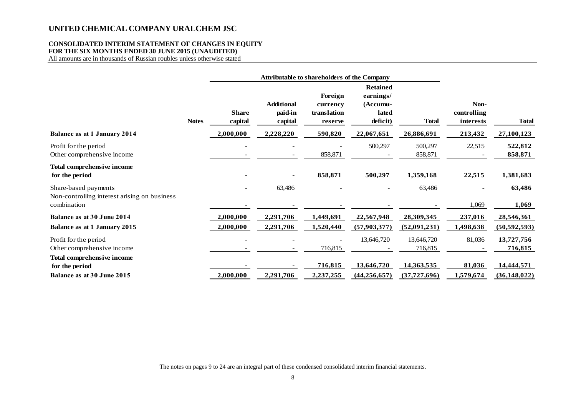## **CONSOLIDATED INTERIM STATEMENT OF CHANGES IN EQUITY FOR THE SIX MONTHS ENDED 30 JUNE 2015 (UNAUDITED)**

All amounts are in thousands of Russian roubles unless otherwise stated

|                                                                      |              |                         |                                         | <b>Attributable to shareholders of the Company</b> |                                                               |                       |                                  |                       |
|----------------------------------------------------------------------|--------------|-------------------------|-----------------------------------------|----------------------------------------------------|---------------------------------------------------------------|-----------------------|----------------------------------|-----------------------|
|                                                                      | <b>Notes</b> | <b>Share</b><br>capital | <b>Additional</b><br>paid-in<br>capital | Foreign<br>currency<br>translation<br>reserve      | <b>Retained</b><br>earnings/<br>(Accumu-<br>lated<br>deficit) | <b>Total</b>          | Non-<br>controlling<br>interests | <b>Total</b>          |
| <b>Balance as at 1 January 2014</b>                                  |              | 2,000,000               | 2,228,220                               | 590,820                                            | 22,067,651                                                    | 26,886,691            | 213,432                          | 27,100,123            |
| Profit for the period<br>Other comprehensive income                  |              |                         |                                         | 858,871                                            | 500,297                                                       | 500,297<br>858,871    | 22,515                           | 522,812<br>858,871    |
| Total comprehensive income<br>for the period                         |              |                         |                                         | 858,871                                            | 500,297                                                       | 1,359,168             | 22,515                           | 1,381,683             |
| Share-based payments<br>Non-controlling interest arising on business |              |                         | 63,486                                  |                                                    |                                                               | 63,486                |                                  | 63,486                |
| combination<br><b>Balance as at 30 June 2014</b>                     |              | 2,000,000               | 2,291,706                               | 1,449,691                                          | 22,567,948                                                    | 28,309,345            | 1,069<br>237,016                 | 1,069<br>28,546,361   |
| Balance as at 1 January 2015                                         |              | 2,000,000               | 2,291,706                               | 1,520,440                                          | (57,903,377)                                                  | (52,091,231)          | 1,498,638                        | (50, 592, 593)        |
| Profit for the period<br>Other comprehensive income                  |              |                         |                                         | 716,815                                            | 13,646,720                                                    | 13,646,720<br>716,815 | 81,036                           | 13,727,756<br>716,815 |
| Total comprehensive income<br>for the period                         |              |                         |                                         | 716,815                                            | 13,646,720                                                    | 14,363,535            | 81,036                           | 14,444,571            |
| Balance as at 30 June 2015                                           |              | 2,000,000               | 2,291,706                               | 2,237,255                                          | (44, 256, 657)                                                | (37, 727, 696)        | 1,579,674                        | (36, 148, 022)        |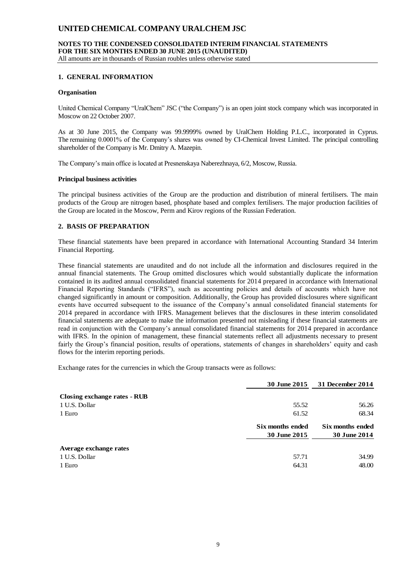#### **NOTES TO THE CONDENSED CONSOLIDATED INTERIM FINANCIAL STATEMENTS FOR THE SIX MONTHS ENDED 30 JUNE 2015 (UNAUDITED)** All amounts are in thousands of Russian roubles unless otherwise stated

#### **1. GENERAL INFORMATION**

#### **Organisation**

United Chemical Company "UralChem" JSC ("the Company") is an open joint stock company which was incorporated in Moscow on 22 October 2007.

As at 30 June 2015, the Company was 99.9999% owned by UralChem Holding P.L.C., incorporated in Cyprus. The remaining 0.0001% of the Company's shares was owned by CI-Chemical Invest Limited. The principal controlling shareholder of the Company is Mr. Dmitry A. Mazepin.

The Company's main office is located at Presnenskaya Naberezhnaya, 6/2, Moscow, Russia.

#### **Principal business activities**

The principal business activities of the Group are the production and distribution of mineral fertilisers. The main products of the Group are nitrogen based, phosphate based and complex fertilisers. The major production facilities of the Group are located in the Moscow, Perm and Kirov regions of the Russian Federation.

#### **2. BASIS OF PREPARATION**

These financial statements have been prepared in accordance with International Accounting Standard 34 Interim Financial Reporting.

These financial statements are unaudited and do not include all the information and disclosures required in the annual financial statements. The Group omitted disclosures which would substantially duplicate the information contained in its audited annual consolidated financial statements for 2014 prepared in accordance with International Financial Reporting Standards ("IFRS"), such as accounting policies and details of accounts which have not changed significantly in amount or composition. Additionally, the Group has provided disclosures where significant events have occurred subsequent to the issuance of the Company's annual consolidated financial statements for 2014 prepared in accordance with IFRS. Management believes that the disclosures in these interim consolidated financial statements are adequate to make the information presented not misleading if these financial statements are read in conjunction with the Company's annual consolidated financial statements for 2014 prepared in accordance with IFRS. In the opinion of management, these financial statements reflect all adjustments necessary to present fairly the Group's financial position, results of operations, statements of changes in shareholders' equity and cash flows for the interim reporting periods.

Exchange rates for the currencies in which the Group transacts were as follows:

|                              | <b>30 June 2015</b> | 31 December 2014    |
|------------------------------|---------------------|---------------------|
| Closing exchange rates - RUB |                     |                     |
| 1 U.S. Dollar                | 55.52               | 56.26               |
| 1 Euro                       | 61.52               | 68.34               |
|                              | Six months ended    | Six months ended    |
|                              | 30 June 2015        | <b>30 June 2014</b> |
| Average exchange rates       |                     |                     |
| 1 U.S. Dollar                | 57.71               | 34.99               |
| 1 Euro                       | 64.31               | 48.00               |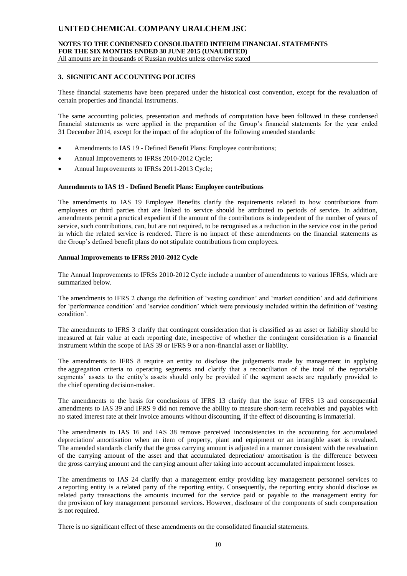### **NOTES TO THE CONDENSED CONSOLIDATED INTERIM FINANCIAL STATEMENTS FOR THE SIX MONTHS ENDED 30 JUNE 2015 (UNAUDITED)**

All amounts are in thousands of Russian roubles unless otherwise stated

#### **3. SIGNIFICANT ACCOUNTING POLICIES**

These financial statements have been prepared under the historical cost convention, except for the revaluation of certain properties and financial instruments.

The same accounting policies, presentation and methods of computation have been followed in these condensed financial statements as were applied in the preparation of the Group's financial statements for the year ended 31 December 2014, except for the impact of the adoption of the following amended standards:

- Amendments to IAS 19 Defined Benefit Plans: Employee contributions;
- Annual Improvements to IFRSs 2010-2012 Cycle;
- Annual Improvements to IFRSs 2011-2013 Cycle;

#### **Amendments to IAS 19 - Defined Benefit Plans: Employee contributions**

The amendments to IAS 19 Employee Benefits clarify the requirements related to how contributions from employees or third parties that are linked to service should be attributed to periods of service. In addition, amendments permit a practical expedient if the amount of the contributions is independent of the number of years of service, such contributions, can, but are not required, to be recognised as a reduction in the service cost in the period in which the related service is rendered. There is no impact of these amendments on the financial statements as the Group's defined benefit plans do not stipulate contributions from employees.

#### **Annual Improvements to IFRSs 2010-2012 Cycle**

The Annual Improvements to IFRSs 2010-2012 Cycle include a number of amendments to various IFRSs, which are summarized below.

The amendments to IFRS 2 change the definition of 'vesting condition' and 'market condition' and add definitions for 'performance condition' and 'service condition' which were previously included within the definition of 'vesting condition'.

The amendments to IFRS 3 clarify that contingent consideration that is classified as an asset or liability should be measured at fair value at each reporting date, irrespective of whether the contingent consideration is a financial instrument within the scope of IAS 39 or IFRS 9 or a non-financial asset or liability.

The amendments to IFRS 8 require an entity to disclose the judgements made by management in applying the aggregation criteria to operating segments and clarify that a reconciliation of the total of the reportable segments' assets to the entity's assets should only be provided if the segment assets are regularly provided to the chief operating decision-maker.

The amendments to the basis for conclusions of IFRS 13 clarify that the issue of IFRS 13 and consequential amendments to IAS 39 and IFRS 9 did not remove the ability to measure short-term receivables and payables with no stated interest rate at their invoice amounts without discounting, if the effect of discounting is immaterial.

The amendments to IAS 16 and IAS 38 remove perceived inconsistencies in the accounting for accumulated depreciation/ amortisation when an item of property, plant and equipment or an intangible asset is revalued. The amended standards clarify that the gross carrying amount is adjusted in a manner consistent with the revaluation of the carrying amount of the asset and that accumulated depreciation/ amortisation is the difference between the gross carrying amount and the carrying amount after taking into account accumulated impairment losses.

The amendments to IAS 24 clarify that a management entity providing key management personnel services to a reporting entity is a related party of the reporting entity. Consequently, the reporting entity should disclose as related party transactions the amounts incurred for the service paid or payable to the management entity for the provision of key management personnel services. However, disclosure of the components of such compensation is not required.

There is no significant effect of these amendments on the consolidated financial statements.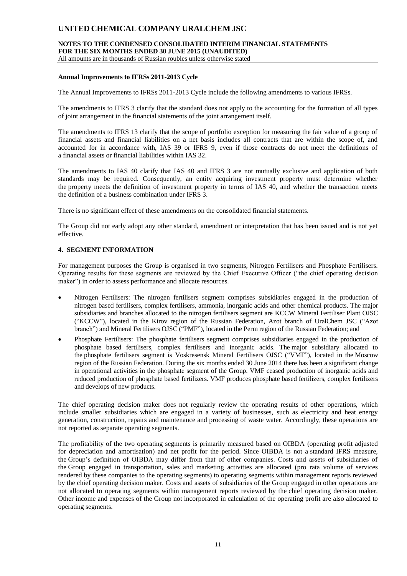## **NOTES TO THE CONDENSED CONSOLIDATED INTERIM FINANCIAL STATEMENTS FOR THE SIX MONTHS ENDED 30 JUNE 2015 (UNAUDITED)**

All amounts are in thousands of Russian roubles unless otherwise stated

#### **Annual Improvements to IFRSs 2011-2013 Cycle**

The Annual Improvements to IFRSs 2011-2013 Cycle include the following amendments to various IFRSs.

The amendments to IFRS 3 clarify that the standard does not apply to the accounting for the formation of all types of joint arrangement in the financial statements of the joint arrangement itself.

The amendments to IFRS 13 clarify that the scope of portfolio exception for measuring the fair value of a group of financial assets and financial liabilities on a net basis includes all contracts that are within the scope of, and accounted for in accordance with, IAS 39 or IFRS 9, even if those contracts do not meet the definitions of a financial assets or financial liabilities within IAS 32.

The amendments to IAS 40 clarify that IAS 40 and IFRS 3 are not mutually exclusive and application of both standards may be required. Consequently, an entity acquiring investment property must determine whether the property meets the definition of investment property in terms of IAS 40, and whether the transaction meets the definition of a business combination under IFRS 3.

There is no significant effect of these amendments on the consolidated financial statements.

The Group did not early adopt any other standard, amendment or interpretation that has been issued and is not yet effective.

#### **4. SEGMENT INFORMATION**

For management purposes the Group is organised in two segments, Nitrogen Fertilisers and Phosphate Fertilisers. Operating results for these segments are reviewed by the Chief Executive Officer ("the chief operating decision maker") in order to assess performance and allocate resources.

- Nitrogen Fertilisers: The nitrogen fertilisers segment comprises subsidiaries engaged in the production of nitrogen based fertilisers, complex fertilisers, ammonia, inorganic acids and other chemical products. The major subsidiaries and branches allocated to the nitrogen fertilisers segment are KCCW Mineral Fertiliser Plant OJSC ("KCCW"), located in the Kirov region of the Russian Federation, Azot branch of UralChem JSC ("Azot branch") and Mineral Fertilisers OJSC ("PMF"), located in the Perm region of the Russian Federation; and
- Phosphate Fertilisers: The phosphate fertilisers segment comprises subsidiaries engaged in the production of phosphate based fertilisers, complex fertilisers and inorganic acids. The major subsidiary allocated to the phosphate fertilisers segment is Voskresensk Mineral Fertilisers OJSC ("VMF"), located in the Moscow region of the Russian Federation. During the six months ended 30 June 2014 there has been a significant change in operational activities in the phosphate segment of the Group. VMF ceased production of inorganic acids and reduced production of phosphate based fertilizers. VMF produces phosphate based fertilizers, complex fertilizers and develops of new products.

The chief operating decision maker does not regularly review the operating results of other operations, which include smaller subsidiaries which are engaged in a variety of businesses, such as electricity and heat energy generation, construction, repairs and maintenance and processing of waste water. Accordingly, these operations are not reported as separate operating segments.

The profitability of the two operating segments is primarily measured based on OIBDA (operating profit adjusted for depreciation and amortisation) and net profit for the period. Since OIBDA is not a standard IFRS measure, the Group's definition of OIBDA may differ from that of other companies. Costs and assets of subsidiaries of the Group engaged in transportation, sales and marketing activities are allocated (pro rata volume of services rendered by these companies to the operating segments) to operating segments within management reports reviewed by the chief operating decision maker. Costs and assets of subsidiaries of the Group engaged in other operations are not allocated to operating segments within management reports reviewed by the chief operating decision maker. Other income and expenses of the Group not incorporated in calculation of the operating profit are also allocated to operating segments.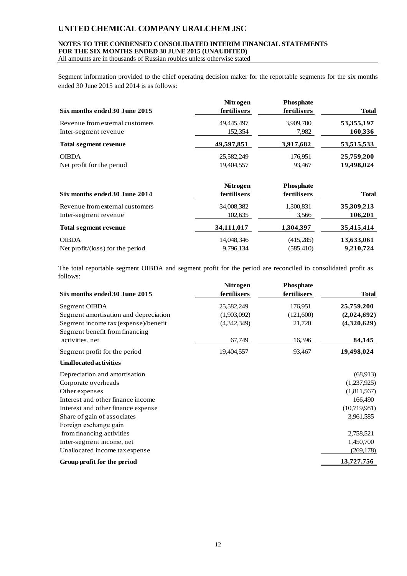#### **NOTES TO THE CONDENSED CONSOLIDATED INTERIM FINANCIAL STATEMENTS FOR THE SIX MONTHS ENDED 30 JUNE 2015 (UNAUDITED)**

All amounts are in thousands of Russian roubles unless otherwise stated

Segment information provided to the chief operating decision maker for the reportable segments for the six months ended 30 June 2015 and 2014 is as follows:

| Six months ended 30 June 2015   | <b>Nitrogen</b><br>fertilisers | <b>Phosphate</b><br>fertilisers | <b>Total</b> |
|---------------------------------|--------------------------------|---------------------------------|--------------|
| Revenue from external customers | 49,445,497                     | 3,909,700                       | 53, 355, 197 |
| Inter-segment revenue           | 152,354                        | 7,982                           | 160,336      |
| Total segment revenue           | 49,597,851                     | 3,917,682                       | 53,515,533   |
| <b>OIBDA</b>                    | 25,582,249                     | 176,951                         | 25,759,200   |
| Net profit for the period       | 19,404,557                     | 93,467                          | 19,498,024   |

| Six months ended 30 June 2014    | <b>Nitrogen</b><br>fertilisers | <b>Phosphate</b><br>fertilisers | <b>Total</b> |
|----------------------------------|--------------------------------|---------------------------------|--------------|
| Revenue from external customers  | 34,008,382                     | 1,300,831                       | 35,309,213   |
| Inter-segment revenue            | 102,635                        | 3,566                           | 106,201      |
| <b>Total segment revenue</b>     | 34,111,017                     | 1,304,397                       | 35,415,414   |
| <b>OIBDA</b>                     | 14,048,346                     | (415,285)                       | 13,633,061   |
| Net profit/(loss) for the period | 9,796,134                      | (585, 410)                      | 9,210,724    |

The total reportable segment OIBDA and segment profit for the period are reconciled to consolidated profit as follows:

| Six months ended 30 June 2015         | <b>Nitrogen</b><br>fertilisers | <b>Phosphate</b><br>fertilisers | <b>Total</b> |
|---------------------------------------|--------------------------------|---------------------------------|--------------|
| Segment OIBDA                         | 25,582,249                     | 176,951                         | 25,759,200   |
| Segment amortisation and depreciation | (1,903,092)                    | (121,600)                       | (2,024,692)  |
| Segment income tax (expense)/benefit  | (4,342,349)                    | 21,720                          | (4,320,629)  |
| Segment benefit from financing        |                                |                                 |              |
| activities, net                       | 67,749                         | 16,396                          | 84,145       |
| Segment profit for the period         | 19,404,557                     | 93,467                          | 19,498,024   |
| <b>Unallocated activities</b>         |                                |                                 |              |
| Depreciation and amortisation         |                                |                                 | (68, 913)    |
| Corporate overheads                   |                                |                                 | (1,237,925)  |
| Other expenses                        |                                |                                 | (1,811,567)  |
| Interest and other finance income     |                                |                                 | 166,490      |
| Interest and other finance expense    |                                |                                 | (10,719,981) |
| Share of gain of associates           |                                |                                 | 3,961,585    |
| Foreign exchange gain                 |                                |                                 |              |
| from financing activities             |                                |                                 | 2,758,521    |
| Inter-segment income, net             |                                |                                 | 1,450,700    |
| Unallocated income tax expense        |                                |                                 | (269, 178)   |
| Group profit for the period           |                                |                                 | 13,727,756   |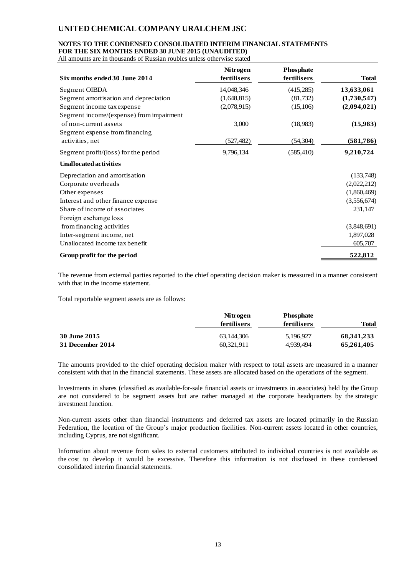## **NOTES TO THE CONDENSED CONSOLIDATED INTERIM FINANCIAL STATEMENTS**

**FOR THE SIX MONTHS ENDED 30 JUNE 2015 (UNAUDITED)** All amounts are in thousands of Russian roubles unless otherwise stated

| Six months ended 30 June 2014            | <b>Nitrogen</b><br>fertilisers | <b>Phosphate</b><br>fertilisers | <b>Total</b> |
|------------------------------------------|--------------------------------|---------------------------------|--------------|
| Segment OIBDA                            | 14,048,346                     | (415,285)                       | 13,633,061   |
| Segment amortisation and depreciation    | (1,648,815)                    | (81,732)                        | (1,730,547)  |
| Segment income tax expense               | (2,078,915)                    | (15,106)                        | (2,094,021)  |
| Segment income/(expense) from impairment |                                |                                 |              |
| of non-current assets                    | 3,000                          | (18,983)                        | (15,983)     |
| Segment expense from financing           |                                |                                 |              |
| activities, net                          | (527, 482)                     | (54, 304)                       | (581, 786)   |
| Segment profit/(loss) for the period     | 9,796,134                      | (585, 410)                      | 9,210,724    |
| <b>Unallocated activities</b>            |                                |                                 |              |
| Depreciation and amortisation            |                                |                                 | (133,748)    |
| Corporate overheads                      |                                |                                 | (2,022,212)  |
| Other expenses                           |                                |                                 | (1,860,469)  |
| Interest and other finance expense       |                                |                                 | (3,556,674)  |
| Share of income of associates            |                                |                                 | 231,147      |
| Foreign exchange loss                    |                                |                                 |              |
| from financing activities                |                                |                                 | (3,848,691)  |
| Inter-segment income, net                |                                |                                 | 1,897,028    |
| Unallocated income tax benefit           |                                |                                 | 605,707      |
| Group profit for the period              |                                |                                 | 522,812      |

The revenue from external parties reported to the chief operating decision maker is measured in a manner consistent with that in the income statement.

Total reportable segment assets are as follows:

|                  | <b>Nitrogen</b> | <b>Phosphate</b> |            |
|------------------|-----------------|------------------|------------|
|                  | fertilisers     | fertilisers      | Total      |
| 30 June 2015     | 63.144.306      | 5.196.927        | 68,341,233 |
| 31 December 2014 | 60.321.911      | 4,939,494        | 65,261,405 |

The amounts provided to the chief operating decision maker with respect to total assets are measured in a manner consistent with that in the financial statements. These assets are allocated based on the operations of the segment.

Investments in shares (classified as available-for-sale financial assets or investments in associates) held by the Group are not considered to be segment assets but are rather managed at the corporate headquarters by the strategic investment function.

Non-current assets other than financial instruments and deferred tax assets are located primarily in the Russian Federation, the location of the Group's major production facilities. Non-current assets located in other countries, including Cyprus, are not significant.

Information about revenue from sales to external customers attributed to individual countries is not available as the cost to develop it would be excessive. Therefore this information is not disclosed in these condensed consolidated interim financial statements.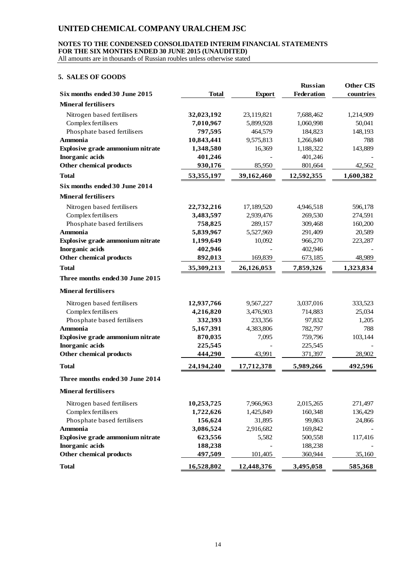#### **NOTES TO THE CONDENSED CONSOLIDATED INTERIM FINANCIAL STATEMENTS FOR THE SIX MONTHS ENDED 30 JUNE 2015 (UNAUDITED)**

All amounts are in thousands of Russian roubles unless otherwise stated

### **5. SALES OF GOODS**

|                                  |              |               | <b>Russian</b> | <b>Other CIS</b> |
|----------------------------------|--------------|---------------|----------------|------------------|
| Six months ended 30 June 2015    | <b>Total</b> | <b>Export</b> | Federation     | countries        |
| <b>Mineral fertilisers</b>       |              |               |                |                  |
| Nitrogen based fertilisers       | 32,023,192   | 23,119,821    | 7,688,462      | 1,214,909        |
| Complex fertilisers              | 7,010,967    | 5,899,928     | 1,060,998      | 50,041           |
| Phosphate based fertilisers      | 797,595      | 464,579       | 184,823        | 148,193          |
| <b>Ammonia</b>                   | 10,843,441   | 9,575,813     | 1,266,840      | 788              |
| Explosive grade ammonium nitrate | 1,348,580    | 16,369        | 1,188,322      | 143,889          |
| <b>Inorganic</b> acids           | 401,246      |               | 401,246        |                  |
| Other chemical products          | 930,176      | 85,950        | 801,664        | 42,562           |
| <b>Total</b>                     | 53,355,197   | 39,162,460    | 12,592,355     | 1,600,382        |
| Six months ended 30 June 2014    |              |               |                |                  |
| <b>Mineral fertilisers</b>       |              |               |                |                  |
| Nitrogen based fertilisers       | 22,732,216   | 17,189,520    | 4,946,518      | 596,178          |
| Complex fertilisers              | 3,483,597    | 2,939,476     | 269,530        | 274,591          |
| Phosphate based fertilisers      | 758,825      | 289,157       | 309,468        | 160,200          |
| <b>Ammonia</b>                   | 5,839,967    | 5,527,969     | 291,409        | 20,589           |
| Explosive grade ammonium nitrate | 1,199,649    | 10,092        | 966,270        | 223,287          |
| <b>Inorganic</b> acids           | 402,946      |               | 402,946        |                  |
| Other chemical products          | 892,013      | 169,839       | 673,185        | 48,989           |
| <b>Total</b>                     | 35,309,213   | 26,126,053    | 7,859,326      | 1,323,834        |
| Three months ended 30 June 2015  |              |               |                |                  |
| <b>Mineral fertilisers</b>       |              |               |                |                  |
| Nitrogen based fertilisers       | 12,937,766   | 9,567,227     | 3,037,016      | 333,523          |
| Complex fertilisers              | 4,216,820    | 3,476,903     | 714,883        | 25,034           |
| Phosphate based fertilisers      | 332,393      | 233,356       | 97,832         | 1,205            |
| <b>Ammonia</b>                   | 5,167,391    | 4,383,806     | 782,797        | 788              |
| Explosive grade ammonium nitrate | 870,035      | 7,095         | 759,796        | 103,144          |
| <b>Inorganic</b> acids           | 225,545      |               | 225,545        |                  |
| Other chemical products          | 444,290      | 43,991        | 371,397        | 28,902           |
| <b>Total</b>                     | 24,194,240   | 17,712,378    | 5,989,266      | 492,596          |
| Three months ended 30 June 2014  |              |               |                |                  |
| <b>Mineral fertilisers</b>       |              |               |                |                  |
| Nitrogen based fertilisers       | 10,253,725   | 7,966,963     | 2,015,265      | 271,497          |
| Complex fertilisers              | 1,722,626    | 1,425,849     | 160,348        | 136,429          |
| Phosphate based fertilisers      | 156,624      | 31,895        | 99,863         | 24,866           |
| Ammonia                          | 3,086,524    | 2,916,682     | 169,842        |                  |
| Explosive grade ammonium nitrate | 623,556      | 5,582         | 500,558        | 117,416          |
| <b>Inorganic</b> acids           | 188,238      |               | 188,238        |                  |
| Other chemical products          | 497,509      | 101,405       | 360,944        | 35,160           |
| <b>Total</b>                     | 16,528,802   | 12,448,376    | 3,495,058      | 585,368          |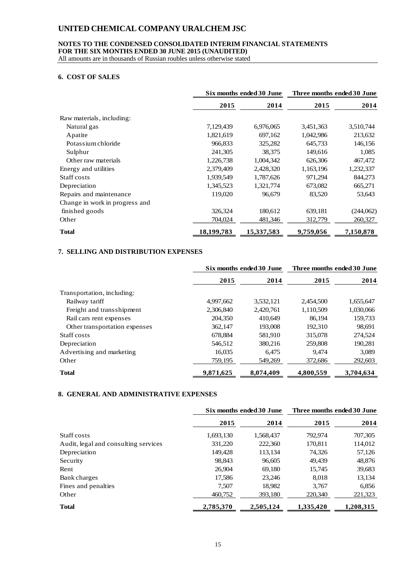#### **NOTES TO THE CONDENSED CONSOLIDATED INTERIM FINANCIAL STATEMENTS FOR THE SIX MONTHS ENDED 30 JUNE 2015 (UNAUDITED)**

All amounts are in thousands of Russian roubles unless otherwise stated

#### **6. COST OF SALES**

|                                | Six months ended 30 June |            | Three months ended 30 June |           |
|--------------------------------|--------------------------|------------|----------------------------|-----------|
|                                | 2015                     | 2014       | 2015                       | 2014      |
| Raw materials, including:      |                          |            |                            |           |
| Natural gas                    | 7,129,439                | 6,976,065  | 3,451,363                  | 3,510,744 |
| Apatite                        | 1,821,619                | 697,162    | 1,042,986                  | 213,632   |
| Potas sium chloride            | 966,833                  | 325,282    | 645,733                    | 146,156   |
| Sulphur                        | 241,305                  | 38,375     | 149,616                    | 1,085     |
| Other raw materials            | 1,226,738                | 1,004,342  | 626,306                    | 467,472   |
| Energy and utilities           | 2,379,409                | 2,428,320  | 1,163,196                  | 1,232,337 |
| Staff costs                    | 1,939,549                | 1,787,626  | 971,294                    | 844,273   |
| Depreciation                   | 1,345,523                | 1,321,774  | 673,082                    | 665,271   |
| Repairs and maintenance        | 119,020                  | 96,679     | 83,520                     | 53,643    |
| Change in work in progress and |                          |            |                            |           |
| finished goods                 | 326,324                  | 180,612    | 639,181                    | (244,062) |
| Other                          | 704,024                  | 481,346    | 312,779                    | 260,327   |
| <b>Total</b>                   | 18,199,783               | 15,337,583 | 9,759,056                  | 7,150,878 |

## **7. SELLING AND DISTRIBUTION EXPENSES**

|                               | Six months ended 30 June |           | Three months ended 30 June |           |
|-------------------------------|--------------------------|-----------|----------------------------|-----------|
|                               | 2015                     | 2014      | 2015                       | 2014      |
| Transportation, including:    |                          |           |                            |           |
| Railway tariff                | 4,997,662                | 3,532,121 | 2,454,500                  | 1,655,647 |
| Freight and transshipment     | 2,306,840                | 2,420,761 | 1,110,509                  | 1,030,066 |
| Rail cars rent expenses       | 204,350                  | 410.649   | 86.194                     | 159,733   |
| Other transportation expenses | 362,147                  | 193,008   | 192,310                    | 98,691    |
| Staff costs                   | 678,884                  | 581,910   | 315,078                    | 274,524   |
| Depreciation                  | 546,512                  | 380,216   | 259,808                    | 190,281   |
| Advertising and marketing     | 16,035                   | 6,475     | 9.474                      | 3,089     |
| Other                         | 759,195                  | 549,269   | 372,686                    | 292,603   |
| <b>Total</b>                  | 9,871,625                | 8,074,409 | 4,800,559                  | 3,704,634 |

## **8. GENERAL AND ADMINISTRATIVE EXPENSES**

|                                      | Six months ended 30 June |           | Three months ended 30 June |           |
|--------------------------------------|--------------------------|-----------|----------------------------|-----------|
|                                      | 2015                     | 2014      | 2015                       | 2014      |
| Staff costs                          | 1,693,130                | 1,568,437 | 792.974                    | 707,305   |
| Audit, legal and consulting services | 331,220                  | 222,360   | 170.811                    | 114,012   |
| Depreciation                         | 149,428                  | 113,134   | 74,326                     | 57,126    |
| Security                             | 98,843                   | 96,605    | 49.439                     | 48,876    |
| Rent                                 | 26,904                   | 69,180    | 15.745                     | 39,683    |
| Bank charges                         | 17,586                   | 23,246    | 8,018                      | 13,134    |
| Fines and penalties                  | 7,507                    | 18,982    | 3,767                      | 6,856     |
| Other                                | 460.752                  | 393.180   | 220,340                    | 221,323   |
| <b>Total</b>                         | 2,785,370                | 2,505,124 | 1,335,420                  | 1,208,315 |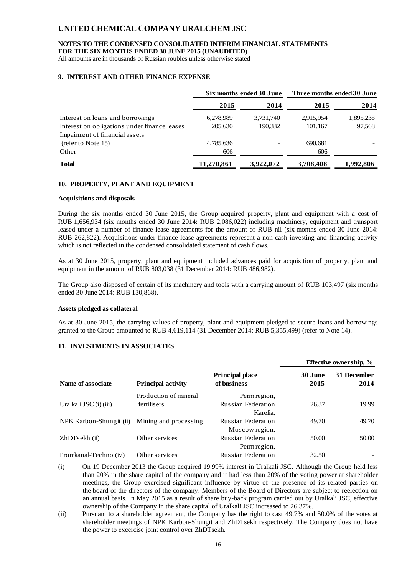#### **NOTES TO THE CONDENSED CONSOLIDATED INTERIM FINANCIAL STATEMENTS FOR THE SIX MONTHS ENDED 30 JUNE 2015 (UNAUDITED)**

All amounts are in thousands of Russian roubles unless otherwise stated

#### **9. INTEREST AND OTHER FINANCE EXPENSE**

|                                              | Six months ended 30 June |           | Three months ended 30 June |           |
|----------------------------------------------|--------------------------|-----------|----------------------------|-----------|
|                                              | 2015                     | 2014      | 2015                       | 2014      |
| Interest on loans and borrowings             | 6,278,989                | 3,731,740 | 2,915,954                  | 1,895,238 |
| Interest on obligations under finance leases | 205,630                  | 190.332   | 101,167                    | 97,568    |
| Impairment of financial assets               |                          |           |                            |           |
| (refer to Note 15)                           | 4,785,636                |           | 690,681                    |           |
| Other                                        | 606                      |           | 606                        |           |
| <b>Total</b>                                 | 11,270,861               | 3,922,072 | 3,708,408                  | 1,992,806 |

#### **10. PROPERTY, PLANT AND EQUIPMENT**

#### **Acquisitions and disposals**

During the six months ended 30 June 2015, the Group acquired property, plant and equipment with a cost of RUB 1,656,934 (six months ended 30 June 2014: RUB 2,086,022) including machinery, equipment and transport leased under a number of finance lease agreements for the amount of RUB nil (six months ended 30 June 2014: RUB 262,822). Acquisitions under finance lease agreements represent a non-cash investing and financing activity which is not reflected in the condensed consolidated statement of cash flows.

As at 30 June 2015, property, plant and equipment included advances paid for acquisition of property, plant and equipment in the amount of RUB 803,038 (31 December 2014: RUB 486,982).

The Group also disposed of certain of its machinery and tools with a carrying amount of RUB 103,497 (six months ended 30 June 2014: RUB 130,868).

#### **Assets pledged as collateral**

As at 30 June 2015, the carrying values of property, plant and equipment pledged to secure loans and borrowings granted to the Group amounted to RUB 4,619,114 (31 December 2014: RUB 5,355,499) (refer to Note 14).

#### **11. INVESTMENTS IN ASSOCIATES**

|                         |                           |                                       |                 | <b>Effective ownership, %</b> |
|-------------------------|---------------------------|---------------------------------------|-----------------|-------------------------------|
| Name of associate       | <b>Principal activity</b> | <b>Principal place</b><br>of business | 30 June<br>2015 | <b>31 December</b><br>2014    |
|                         | Production of mineral     | Perm region,                          |                 |                               |
| Uralkali JSC (i) (iii)  | fertilisers               | <b>Russian Federation</b>             | 26.37           | 19.99                         |
|                         |                           | Karelia.                              |                 |                               |
| NPK Karbon-Shungit (ii) | Mining and processing     | <b>Russian Federation</b>             | 49.70           | 49.70                         |
|                         |                           | Moscow region,                        |                 |                               |
| ZhDTsekh (ii)           | Other services            | <b>Russian Federation</b>             | 50.00           | 50.00                         |
|                         |                           | Perm region,                          |                 |                               |
| Promkanal-Techno (iv)   | Other services            | <b>Russian Federation</b>             | 32.50           |                               |

(i) On 19 December 2013 the Group acquired 19.99% interest in Uralkali JSC. Although the Group held less than 20% in the share capital of the company and it had less than 20% of the voting power at shareholder meetings, the Group exercised significant influence by virtue of the presence of its related parties on the board of the directors of the company. Members of the Board of Directors are subject to reelection on an annual basis. In May 2015 as a result of share buy-back program carried out by Uralkali JSC, effective ownership of the Company in the share capital of Uralkali JSC increased to 26.37%.

(ii) Pursuant to a shareholder agreement, the Company has the right to cast 49.7% and 50.0% of the votes at shareholder meetings of NPK Karbon-Shungit and ZhDTsekh respectively. The Company does not have the power to excercise joint control over ZhDTsekh.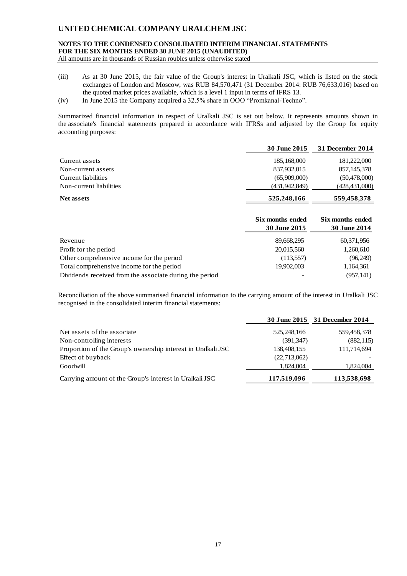## **NOTES TO THE CONDENSED CONSOLIDATED INTERIM FINANCIAL STATEMENTS FOR THE SIX MONTHS ENDED 30 JUNE 2015 (UNAUDITED)**

All amounts are in thousands of Russian roubles unless otherwise stated

- (iii) As at 30 June 2015, the fair value of the Group's interest in Uralkali JSC, which is listed on the stock exchanges of London and Moscow, was RUB 84,570,471 (31 December 2014: RUB 76,633,016) based on the quoted market prices available, which is a level 1 input in terms of IFRS 13.
- (iv) In June 2015 the Company acquired a 32.5% share in OOO "Promkanal-Techno".

Summarized financial information in respect of Uralkali JSC is set out below. It represents amounts shown in the associate's financial statements prepared in accordance with IFRSs and adjusted by the Group for equity accounting purposes:

|                         | 30 June 2015  | 31 December 2014 |
|-------------------------|---------------|------------------|
| Current assets          | 185,168,000   | 181,222,000      |
| Non-current assets      | 837,932,015   | 857, 145, 378    |
| Current liabilities     | (65,909,000)  | (50, 478, 000)   |
| Non-current liabilities | (431,942,849) | (428, 431, 000)  |
| <b>Net assets</b>       | 525,248,166   | 559,458,378      |

|                                                         | Six months ended<br>30 June 2015 | Six months ended<br><b>30 June 2014</b> |
|---------------------------------------------------------|----------------------------------|-----------------------------------------|
| Revenue                                                 | 89,668,295                       | 60,371,956                              |
| Profit for the period                                   | 20,015,560                       | 1,260,610                               |
| Other comprehensive income for the period               | (113,557)                        | (96,249)                                |
| Total comprehensive income for the period               | 19,902,003                       | 1,164,361                               |
| Dividends received from the associate during the period |                                  | (957, 141)                              |

Reconciliation of the above summarised financial information to the carrying amount of the interest in Uralkali JSC recognised in the consolidated interim financial statements:

|                                                              |              | 30 June 2015 31 December 2014 |
|--------------------------------------------------------------|--------------|-------------------------------|
| Net assets of the associate                                  | 525,248,166  | 559,458,378                   |
| Non-controlling interests                                    | (391, 347)   | (882, 115)                    |
| Proportion of the Group's ownership interest in Uralkali JSC | 138,408,155  | 111,714,694                   |
| Effect of buyback                                            | (22,713,062) |                               |
| Goodwill                                                     | 1.824.004    | 1,824,004                     |
| Carrying amount of the Group's interest in Uralkali JSC      | 117,519,096  | 113,538,698                   |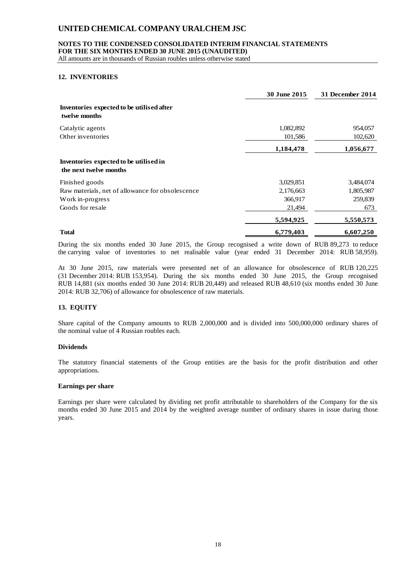#### **NOTES TO THE CONDENSED CONSOLIDATED INTERIM FINANCIAL STATEMENTS**

**FOR THE SIX MONTHS ENDED 30 JUNE 2015 (UNAUDITED)**

All amounts are in thousands of Russian roubles unless otherwise stated

#### **12. INVENTORIES**

|                                                                  | 30 June 2015 | 31 December 2014 |
|------------------------------------------------------------------|--------------|------------------|
| Inventories expected to be utilised after<br>twelve months       |              |                  |
| Catalytic agents                                                 | 1,082,892    | 954,057          |
| Other inventories                                                | 101,586      | 102,620          |
|                                                                  | 1,184,478    | 1,056,677        |
| Inventories expected to be utilised in<br>the next twelve months |              |                  |
| Finished goods                                                   | 3,029,851    | 3,484,074        |
| Raw materials, net of allowance for obsolescence                 | 2,176,663    | 1,805,987        |
| Work in-progress                                                 | 366,917      | 259,839          |
| Goods for resale                                                 | 21,494       | 673              |
|                                                                  | 5,594,925    | 5,550,573        |
| <b>Total</b>                                                     | 6,779,403    | 6,607,250        |

During the six months ended 30 June 2015, the Group recognised a write down of RUB 89,273 to reduce the carrying value of inventories to net realisable value (year ended 31 December 2014: RUB 58,959).

At 30 June 2015, raw materials were presented net of an allowance for obsolescence of RUB 120,225 (31 December 2014: RUB 153,954). During the six months ended 30 June 2015, the Group recognised RUB 14,881 (six months ended 30 June 2014: RUB 20,449) and released RUB 48,610 (six months ended 30 June 2014: RUB 32,706) of allowance for obsolescence of raw materials.

### **13. EQUITY**

Share capital of the Company amounts to RUB 2,000,000 and is divided into 500,000,000 ordinary shares of the nominal value of 4 Russian roubles each.

#### **Dividends**

The statutory financial statements of the Group entities are the basis for the profit distribution and other appropriations.

#### **Earnings per share**

Earnings per share were calculated by dividing net profit attributable to shareholders of the Company for the six months ended 30 June 2015 and 2014 by the weighted average number of ordinary shares in issue during those years.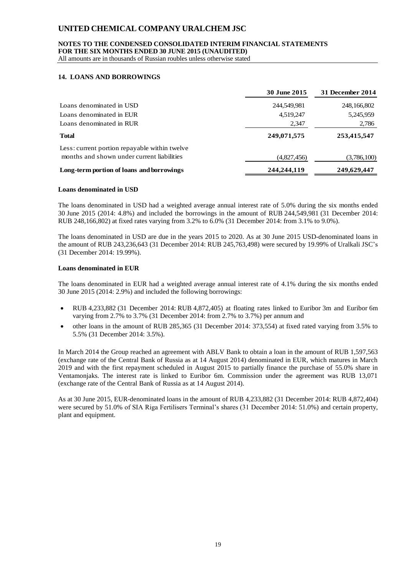## **NOTES TO THE CONDENSED CONSOLIDATED INTERIM FINANCIAL STATEMENTS**

**FOR THE SIX MONTHS ENDED 30 JUNE 2015 (UNAUDITED)**

All amounts are in thousands of Russian roubles unless otherwise stated

#### **14. LOANS AND BORROWINGS**

|                                               | 30 June 2015 | 31 December 2014 |
|-----------------------------------------------|--------------|------------------|
| Loans denominated in USD                      | 244,549,981  | 248,166,802      |
| Loans denominated in EUR                      | 4,519,247    | 5,245,959        |
| Loans denominated in RUR                      | 2,347        | 2,786            |
| <b>Total</b>                                  | 249,071,575  | 253,415,547      |
| Less: current portion repayable within twelve |              |                  |
| months and shown under current liabilities    | (4,827,456)  | (3,786,100)      |
| Long-term portion of loans and borrowings     | 244,244,119  | 249,629,447      |

#### **Loans denominated in USD**

The loans denominated in USD had a weighted average annual interest rate of 5.0% during the six months ended 30 June 2015 (2014: 4.8%) and included the borrowings in the amount of RUB 244,549,981 (31 December 2014: RUB 248,166,802) at fixed rates varying from 3.2% to 6.0% (31 December 2014: from 3.1% to 9.0%).

The loans denominated in USD are due in the years 2015 to 2020. As at 30 June 2015 USD-denominated loans in the amount of RUB 243,236,643 (31 December 2014: RUB 245,763,498) were secured by 19.99% of Uralkali JSC's (31 December 2014: 19.99%).

#### **Loans denominated in EUR**

The loans denominated in EUR had a weighted average annual interest rate of 4.1% during the six months ended 30 June 2015 (2014: 2.9%) and included the following borrowings:

- RUB 4,233,882 (31 December 2014: RUB 4,872,405) at floating rates linked to Euribor 3m and Euribor 6m varying from 2.7% to 3.7% (31 December 2014: from 2.7% to 3.7%) per annum and
- other loans in the amount of RUB 285,365 (31 December 2014: 373,554) at fixed rated varying from 3.5% to 5.5% (31 December 2014: 3.5%).

In March 2014 the Group reached an agreement with ABLV Bank to obtain a loan in the amount of RUB 1,597,563 (exchange rate of the Central Bank of Russia as at 14 August 2014) denominated in EUR, which matures in March 2019 and with the first repayment scheduled in August 2015 to partially finance the purchase of 55.0% share in Ventamonjaks. The interest rate is linked to Euribor 6m. Commission under the agreement was RUB 13,071 (exchange rate of the Central Bank of Russia as at 14 August 2014).

As at 30 June 2015, EUR-denominated loans in the amount of RUB 4,233,882 (31 December 2014: RUB 4,872,404) were secured by 51.0% of SIA Riga Fertilisers Terminal's shares (31 December 2014: 51.0%) and certain property, plant and equipment.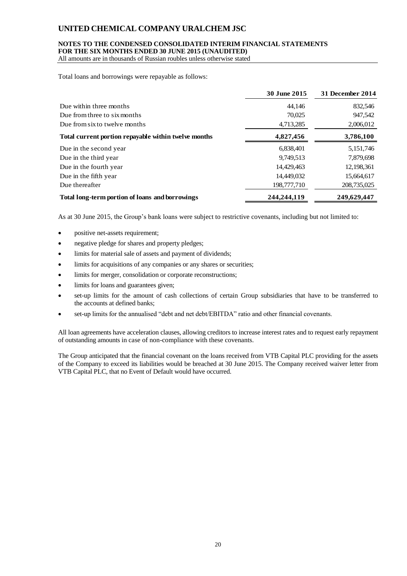#### **NOTES TO THE CONDENSED CONSOLIDATED INTERIM FINANCIAL STATEMENTS FOR THE SIX MONTHS ENDED 30 JUNE 2015 (UNAUDITED)**

All amounts are in thousands of Russian roubles unless otherwise stated

Total loans and borrowings were repayable as follows:

|                                                      | <b>30 June 2015</b> | 31 December 2014 |
|------------------------------------------------------|---------------------|------------------|
| Due within three months                              | 44.146              | 832,546          |
| Due from three to six months                         | 70,025              | 947,542          |
| Due from six to twelve months                        | 4,713,285           | 2,006,012        |
| Total current portion repayable within twelve months | 4,827,456           | 3,786,100        |
| Due in the second year                               | 6,838,401           | 5,151,746        |
| Due in the third year                                | 9,749,513           | 7,879,698        |
| Due in the fourth year                               | 14,429,463          | 12,198,361       |
| Due in the fifth year                                | 14.449.032          | 15,664,617       |
| Due thereafter                                       | 198,777,710         | 208,735,025      |
| Total long-term portion of loans and borrowings      | 244,244,119         | 249,629,447      |

As at 30 June 2015, the Group's bank loans were subject to restrictive covenants, including but not limited to:

- positive net-assets requirement;
- negative pledge for shares and property pledges;
- limits for material sale of assets and payment of dividends;
- limits for acquisitions of any companies or any shares or securities;
- limits for merger, consolidation or corporate reconstructions;
- limits for loans and guarantees given;
- set-up limits for the amount of cash collections of certain Group subsidiaries that have to be transferred to the accounts at defined banks;
- set-up limits for the annualised "debt and net debt/EBITDA" ratio and other financial covenants.

All loan agreements have acceleration clauses, allowing creditors to increase interest rates and to request early repayment of outstanding amounts in case of non-compliance with these covenants.

The Group anticipated that the financial covenant on the loans received from VTB Capital PLC providing for the assets of the Company to exceed its liabilities would be breached at 30 June 2015. The Company received waiver letter from VTB Capital PLC, that no Event of Default would have occurred.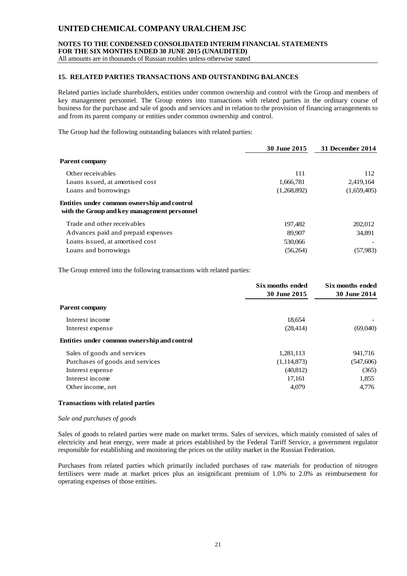**NOTES TO THE CONDENSED CONSOLIDATED INTERIM FINANCIAL STATEMENTS FOR THE SIX MONTHS ENDED 30 JUNE 2015 (UNAUDITED)**

All amounts are in thousands of Russian roubles unless otherwise stated

#### **15. RELATED PARTIES TRANSACTIONS AND OUTSTANDING BALANCES**

Related parties include shareholders, entities under common ownership and control with the Group and members of key management personnel. The Group enters into transactions with related parties in the ordinary course of business for the purchase and sale of goods and services and in relation to the provision of financing arrangements to and from its parent company or entities under common ownership and control.

The Group had the following outstanding balances with related parties:

|                                                                                            | 30 June 2015 | <b>31 December 2014</b> |
|--------------------------------------------------------------------------------------------|--------------|-------------------------|
| <b>Parent company</b>                                                                      |              |                         |
| Other receivables                                                                          | 111          | 112                     |
| Loans issued, at amortised cost                                                            | 1,666,781    | 2,419,164               |
| Loans and borrowings                                                                       | (1,268,892)  | (1,659,405)             |
| Entities under common ownership and control<br>with the Group and key management personnel |              |                         |
| Trade and other receivables                                                                | 197,482      | 202,012                 |
| Advances paid and prepaid expenses                                                         | 89,907       | 34.891                  |
| Loans issued, at amortised cost                                                            | 530,066      |                         |
| Loans and borrowings                                                                       | (56,264)     | (57,983)                |

The Group entered into the following transactions with related parties:

|                                             | Six months ended<br>30 June 2015 | Six months ended<br><b>30 June 2014</b> |
|---------------------------------------------|----------------------------------|-----------------------------------------|
| <b>Parent company</b>                       |                                  |                                         |
| Interest income                             | 18,654                           |                                         |
| Interest expense                            | (28, 414)                        | (69,040)                                |
| Entities under common ownership and control |                                  |                                         |
| Sales of goods and services                 | 1,281,113                        | 941,716                                 |
| Purchases of goods and services             | (1,114,873)                      | (547,606)                               |
| Interest expense                            | (40, 812)                        | (365)                                   |
| Interest income                             | 17,161                           | 1,855                                   |
| Other income, net                           | 4,079                            | 4,776                                   |

#### **Transactions with related parties**

#### *Sale and purchases of goods*

Sales of goods to related parties were made on market terms. Sales of services, which mainly consisted of sales of electricity and heat energy, were made at prices established by the Federal Tariff Service, a government regulator responsible for establishing and monitoring the prices on the utility market in the Russian Federation.

Purchases from related parties which primarily included purchases of raw materials for production of nitrogen fertilisers were made at market prices plus an insignificant premium of 1.0% to 2.0% as reimbursement for operating expenses of those entities.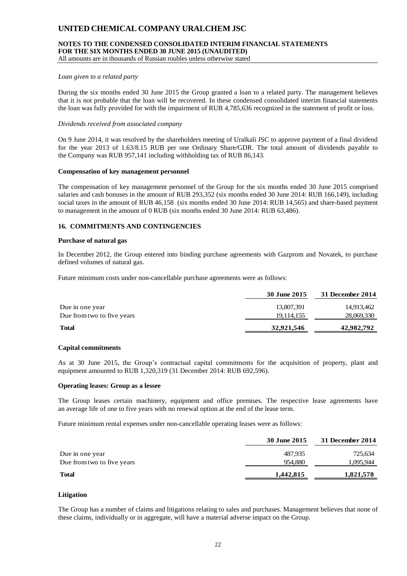## **NOTES TO THE CONDENSED CONSOLIDATED INTERIM FINANCIAL STATEMENTS FOR THE SIX MONTHS ENDED 30 JUNE 2015 (UNAUDITED)**

All amounts are in thousands of Russian roubles unless otherwise stated

#### *Loan given to a related party*

During the six months ended 30 June 2015 the Group granted a loan to a related party. The management believes that it is not probable that the loan will be recovered. In these condensed consolidated interim financial statements the loan was fully provided for with the impairment of RUB 4,785,636 recognized in the statement of profit or loss.

#### *Dividends received from associated company*

On 9 June 2014, it was resolved by the shareholders meeting of Uralkali JSC to approve payment of a final dividend for the year 2013 of 1.63/8.15 RUB per one Ordinary Share/GDR. The total amount of dividends payable to the Company was RUB 957,141 including withholding tax of RUB 86,143.

#### **Compensation of key management personnel**

The compensation of key management personnel of the Group for the six months ended 30 June 2015 comprised salaries and cash bonuses in the amount of RUB 293,352 (six months ended 30 June 2014: RUB 166,149), including social taxes in the amount of RUB 46,158 (six months ended 30 June 2014: RUB 14,565) and share-based payment to management in the amount of 0 RUB (six months ended 30 June 2014: RUB 63,486).

#### **16. COMMITMENTS AND CONTINGENCIES**

#### **Purchase of natural gas**

In December 2012, the Group entered into binding purchase agreements with Gazprom and Novatek, to purchase defined volumes of natural gas.

Future minimum costs under non-cancellable purchase agreements were as follows:

|                            | 30 June 2015 | 31 December 2014 |  |
|----------------------------|--------------|------------------|--|
| Due in one year            | 13,807,391   | 14,913,462       |  |
| Due from two to five years | 19.114.155   | 28,069,330       |  |
| <b>Total</b>               | 32,921,546   | 42,982,792       |  |
|                            |              |                  |  |

#### **Capital commitments**

As at 30 June 2015, the Group's contractual capital commitments for the acquisition of property, plant and equipment amounted to RUB 1,320,319 (31 December 2014: RUB 692,596).

#### **Operating leases: Group as a lessee**

The Group leases certain machinery, equipment and office premises. The respective lease agreements have an average life of one to five years with no renewal option at the end of the lease term.

Future minimum rental expenses under non-cancellable operating leases were as follows:

|                            | 30 June 2015 | 31 December 2014 |
|----------------------------|--------------|------------------|
| Due in one year            | 487,935      | 725,634          |
| Due from two to five years | 954.880      | 1.095.944        |
| <b>Total</b>               | 1,442,815    | 1,821,578        |
|                            |              |                  |

#### **Litigation**

The Group has a number of claims and litigations relating to sales and purchases. Management believes that none of these claims, individually or in aggregate, will have a material adverse impact on the Group.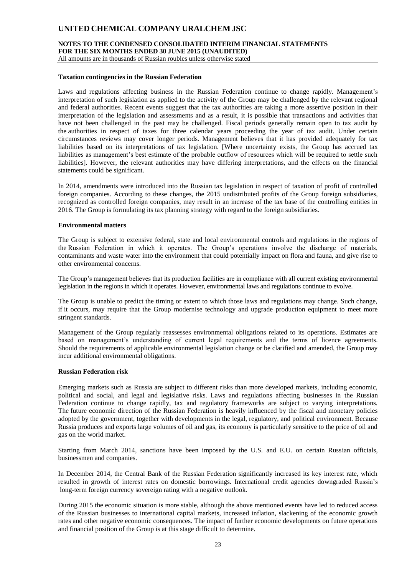**NOTES TO THE CONDENSED CONSOLIDATED INTERIM FINANCIAL STATEMENTS FOR THE SIX MONTHS ENDED 30 JUNE 2015 (UNAUDITED)**

All amounts are in thousands of Russian roubles unless otherwise stated

#### **Taxation contingencies in the Russian Federation**

Laws and regulations affecting business in the Russian Federation continue to change rapidly. Management's interpretation of such legislation as applied to the activity of the Group may be challenged by the relevant regional and federal authorities. Recent events suggest that the tax authorities are taking a more assertive position in their interpretation of the legislation and assessments and as a result, it is possible that transactions and activities that have not been challenged in the past may be challenged. Fiscal periods generally remain open to tax audit by the authorities in respect of taxes for three calendar years proceeding the year of tax audit. Under certain circumstances reviews may cover longer periods. Management believes that it has provided adequately for tax liabilities based on its interpretations of tax legislation. [Where uncertainty exists, the Group has accrued tax liabilities as management's best estimate of the probable outflow of resources which will be required to settle such liabilities]. However, the relevant authorities may have differing interpretations, and the effects on the financial statements could be significant.

In 2014, amendments were introduced into the Russian tax legislation in respect of taxation of profit of controlled foreign companies. According to these changes, the 2015 undistributed profits of the Group foreign subsidiaries, recognized as controlled foreign companies, may result in an increase of the tax base of the controlling entities in 2016. The Group is formulating its tax planning strategy with regard to the foreign subsidiaries.

#### **Environmental matters**

The Group is subject to extensive federal, state and local environmental controls and regulations in the regions of the Russian Federation in which it operates. The Group's operations involve the discharge of materials, contaminants and waste water into the environment that could potentially impact on flora and fauna, and give rise to other environmental concerns.

The Group's management believes that its production facilities are in compliance with all current existing environmental legislation in the regions in which it operates. However, environmental laws and regulations continue to evolve.

The Group is unable to predict the timing or extent to which those laws and regulations may change. Such change, if it occurs, may require that the Group modernise technology and upgrade production equipment to meet more stringent standards.

Management of the Group regularly reassesses environmental obligations related to its operations. Estimates are based on management's understanding of current legal requirements and the terms of licence agreements. Should the requirements of applicable environmental legislation change or be clarified and amended, the Group may incur additional environmental obligations.

#### **Russian Federation risk**

Emerging markets such as Russia are subject to different risks than more developed markets, including economic, political and social, and legal and legislative risks. Laws and regulations affecting businesses in the Russian Federation continue to change rapidly, tax and regulatory frameworks are subject to varying interpretations. The future economic direction of the Russian Federation is heavily influenced by the fiscal and monetary policies adopted by the government, together with developments in the legal, regulatory, and political environment. Because Russia produces and exports large volumes of oil and gas, its economy is particularly sensitive to the price of oil and gas on the world market.

Starting from March 2014, sanctions have been imposed by the U.S. and E.U. on certain Russian officials, businessmen and companies.

In December 2014, the Central Bank of the Russian Federation significantly increased its key interest rate, which resulted in growth of interest rates on domestic borrowings. International credit agencies downgraded Russia's long-term foreign currency sovereign rating with a negative outlook.

During 2015 the economic situation is more stable, although the above mentioned events have led to reduced access of the Russian businesses to international capital markets, increased inflation, slackening of the economic growth rates and other negative economic consequences. The impact of further economic developments on future operations and financial position of the Group is at this stage difficult to determine.